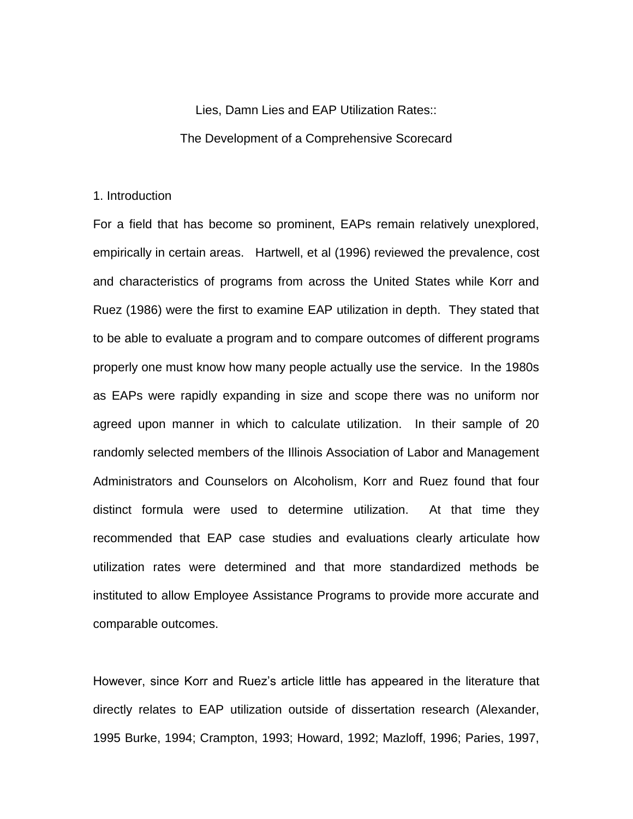# Lies, Damn Lies and EAP Utilization Rates:: The Development of a Comprehensive Scorecard

# 1. Introduction

For a field that has become so prominent, EAPs remain relatively unexplored, empirically in certain areas. Hartwell, et al (1996) reviewed the prevalence, cost and characteristics of programs from across the United States while Korr and Ruez (1986) were the first to examine EAP utilization in depth. They stated that to be able to evaluate a program and to compare outcomes of different programs properly one must know how many people actually use the service. In the 1980s as EAPs were rapidly expanding in size and scope there was no uniform nor agreed upon manner in which to calculate utilization. In their sample of 20 randomly selected members of the Illinois Association of Labor and Management Administrators and Counselors on Alcoholism, Korr and Ruez found that four distinct formula were used to determine utilization. At that time they recommended that EAP case studies and evaluations clearly articulate how utilization rates were determined and that more standardized methods be instituted to allow Employee Assistance Programs to provide more accurate and comparable outcomes.

However, since Korr and Ruez's article little has appeared in the literature that directly relates to EAP utilization outside of dissertation research (Alexander, 1995 Burke, 1994; Crampton, 1993; Howard, 1992; Mazloff, 1996; Paries, 1997,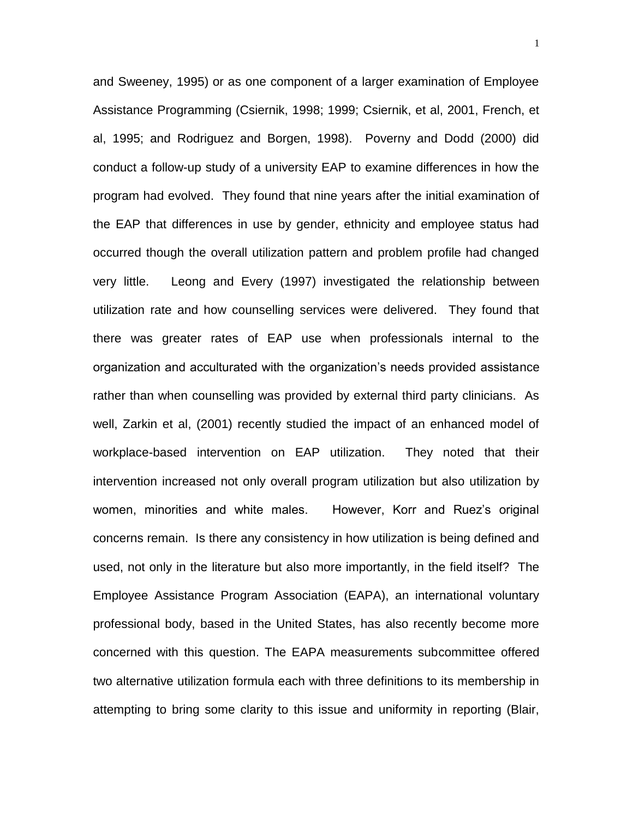and Sweeney, 1995) or as one component of a larger examination of Employee Assistance Programming (Csiernik, 1998; 1999; Csiernik, et al, 2001, French, et al, 1995; and Rodriguez and Borgen, 1998). Poverny and Dodd (2000) did conduct a follow-up study of a university EAP to examine differences in how the program had evolved. They found that nine years after the initial examination of the EAP that differences in use by gender, ethnicity and employee status had occurred though the overall utilization pattern and problem profile had changed very little. Leong and Every (1997) investigated the relationship between utilization rate and how counselling services were delivered. They found that there was greater rates of EAP use when professionals internal to the organization and acculturated with the organization's needs provided assistance rather than when counselling was provided by external third party clinicians. As well, Zarkin et al, (2001) recently studied the impact of an enhanced model of workplace-based intervention on EAP utilization. They noted that their intervention increased not only overall program utilization but also utilization by women, minorities and white males. However, Korr and Ruez's original concerns remain. Is there any consistency in how utilization is being defined and used, not only in the literature but also more importantly, in the field itself? The Employee Assistance Program Association (EAPA), an international voluntary professional body, based in the United States, has also recently become more concerned with this question. The EAPA measurements subcommittee offered two alternative utilization formula each with three definitions to its membership in attempting to bring some clarity to this issue and uniformity in reporting (Blair,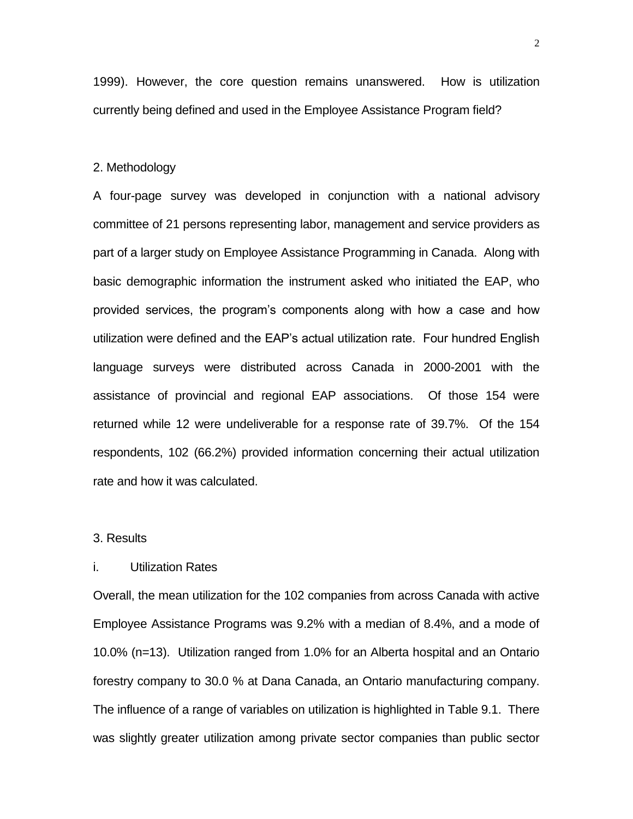1999). However, the core question remains unanswered. How is utilization currently being defined and used in the Employee Assistance Program field?

#### 2. Methodology

A four-page survey was developed in conjunction with a national advisory committee of 21 persons representing labor, management and service providers as part of a larger study on Employee Assistance Programming in Canada. Along with basic demographic information the instrument asked who initiated the EAP, who provided services, the program's components along with how a case and how utilization were defined and the EAP's actual utilization rate. Four hundred English language surveys were distributed across Canada in 2000-2001 with the assistance of provincial and regional EAP associations. Of those 154 were returned while 12 were undeliverable for a response rate of 39.7%. Of the 154 respondents, 102 (66.2%) provided information concerning their actual utilization rate and how it was calculated.

## 3. Results

## i. Utilization Rates

Overall, the mean utilization for the 102 companies from across Canada with active Employee Assistance Programs was 9.2% with a median of 8.4%, and a mode of 10.0% (n=13). Utilization ranged from 1.0% for an Alberta hospital and an Ontario forestry company to 30.0 % at Dana Canada, an Ontario manufacturing company. The influence of a range of variables on utilization is highlighted in Table 9.1. There was slightly greater utilization among private sector companies than public sector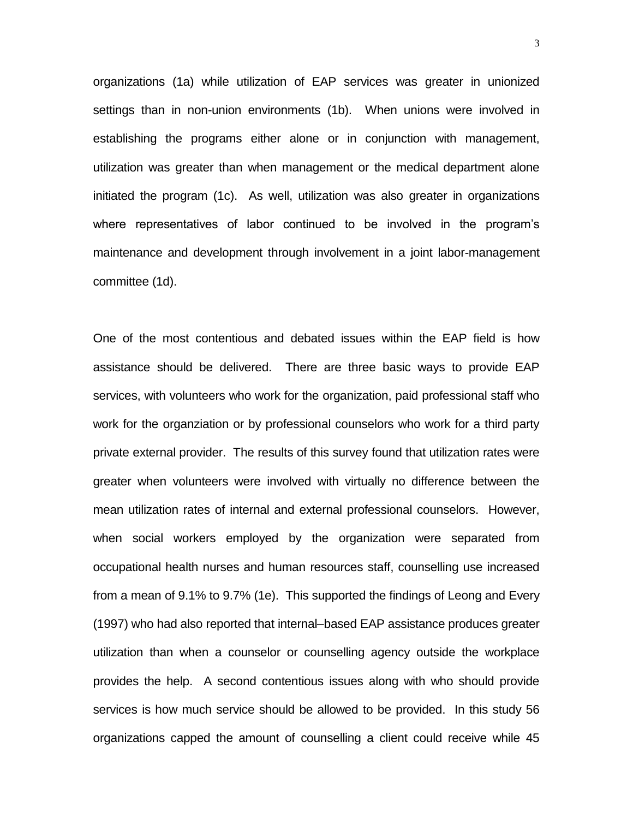organizations (1a) while utilization of EAP services was greater in unionized settings than in non-union environments (1b). When unions were involved in establishing the programs either alone or in conjunction with management, utilization was greater than when management or the medical department alone initiated the program (1c). As well, utilization was also greater in organizations where representatives of labor continued to be involved in the program's maintenance and development through involvement in a joint labor-management committee (1d).

One of the most contentious and debated issues within the EAP field is how assistance should be delivered. There are three basic ways to provide EAP services, with volunteers who work for the organization, paid professional staff who work for the organziation or by professional counselors who work for a third party private external provider. The results of this survey found that utilization rates were greater when volunteers were involved with virtually no difference between the mean utilization rates of internal and external professional counselors. However, when social workers employed by the organization were separated from occupational health nurses and human resources staff, counselling use increased from a mean of 9.1% to 9.7% (1e). This supported the findings of Leong and Every (1997) who had also reported that internal–based EAP assistance produces greater utilization than when a counselor or counselling agency outside the workplace provides the help. A second contentious issues along with who should provide services is how much service should be allowed to be provided. In this study 56 organizations capped the amount of counselling a client could receive while 45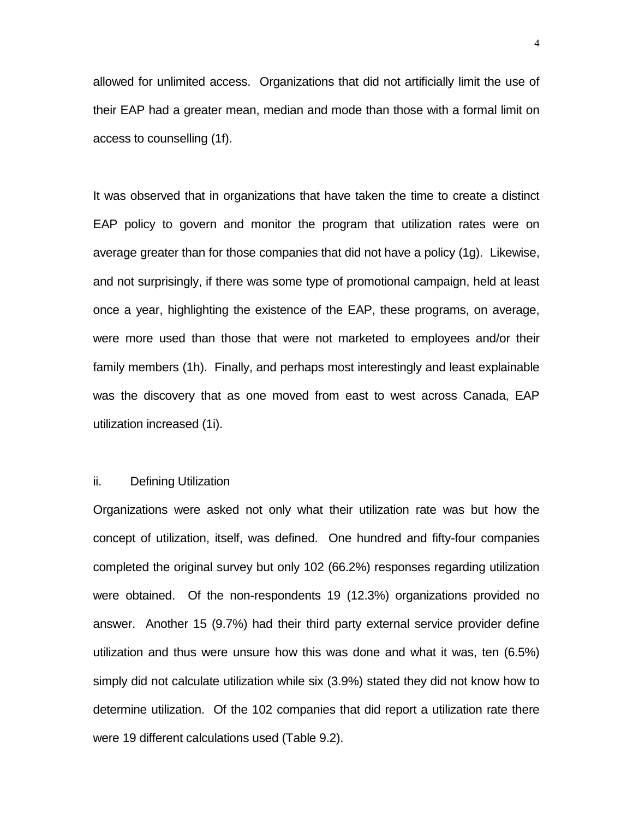allowed for unlimited access. Organizations that did not artificially limit the use of their EAP had a greater mean, median and mode than those with a formal limit on access to counselling (1f).

It was observed that in organizations that have taken the time to create a distinct EAP policy to govern and monitor the program that utilization rates were on average greater than for those companies that did not have a policy (1g). Likewise, and not surprisingly, if there was some type of promotional campaign, held at least once a year, highlighting the existence of the EAP, these programs, on average, were more used than those that were not marketed to employees and/or their family members (1h). Finally, and perhaps most interestingly and least explainable was the discovery that as one moved from east to west across Canada, EAP utilization increased (1i).

## ii. Defining Utilization

Organizations were asked not only what their utilization rate was but how the concept of utilization, itself, was defined. One hundred and fifty-four companies completed the original survey but only 102 (66.2%) responses regarding utilization were obtained. Of the non-respondents 19 (12.3%) organizations provided no answer. Another 15 (9.7%) had their third party external service provider define utilization and thus were unsure how this was done and what it was, ten (6.5%) simply did not calculate utilization while six (3.9%) stated they did not know how to determine utilization. Of the 102 companies that did report a utilization rate there were 19 different calculations used (Table 9.2).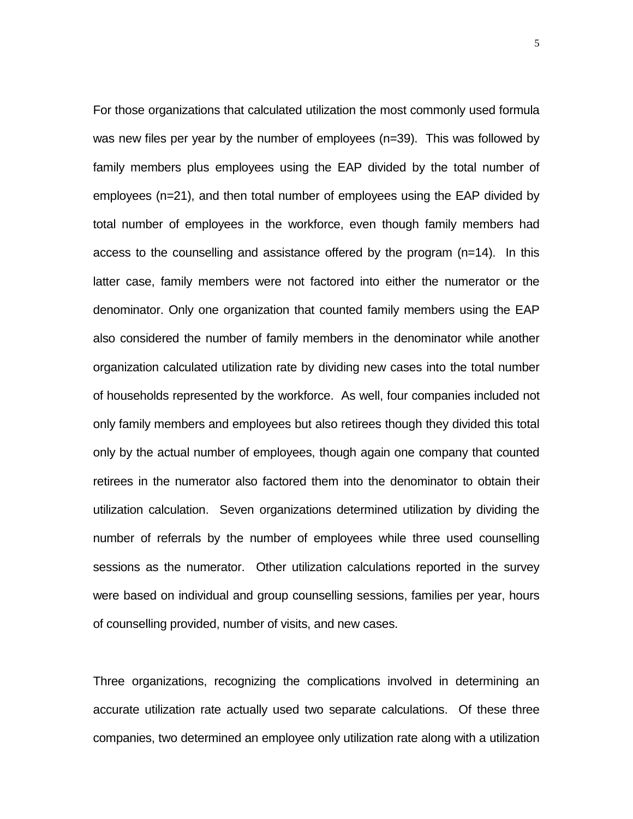For those organizations that calculated utilization the most commonly used formula was new files per year by the number of employees (n=39). This was followed by family members plus employees using the EAP divided by the total number of employees (n=21), and then total number of employees using the EAP divided by total number of employees in the workforce, even though family members had access to the counselling and assistance offered by the program (n=14). In this latter case, family members were not factored into either the numerator or the denominator. Only one organization that counted family members using the EAP also considered the number of family members in the denominator while another organization calculated utilization rate by dividing new cases into the total number of households represented by the workforce. As well, four companies included not only family members and employees but also retirees though they divided this total only by the actual number of employees, though again one company that counted retirees in the numerator also factored them into the denominator to obtain their utilization calculation. Seven organizations determined utilization by dividing the number of referrals by the number of employees while three used counselling sessions as the numerator. Other utilization calculations reported in the survey were based on individual and group counselling sessions, families per year, hours of counselling provided, number of visits, and new cases.

Three organizations, recognizing the complications involved in determining an accurate utilization rate actually used two separate calculations. Of these three companies, two determined an employee only utilization rate along with a utilization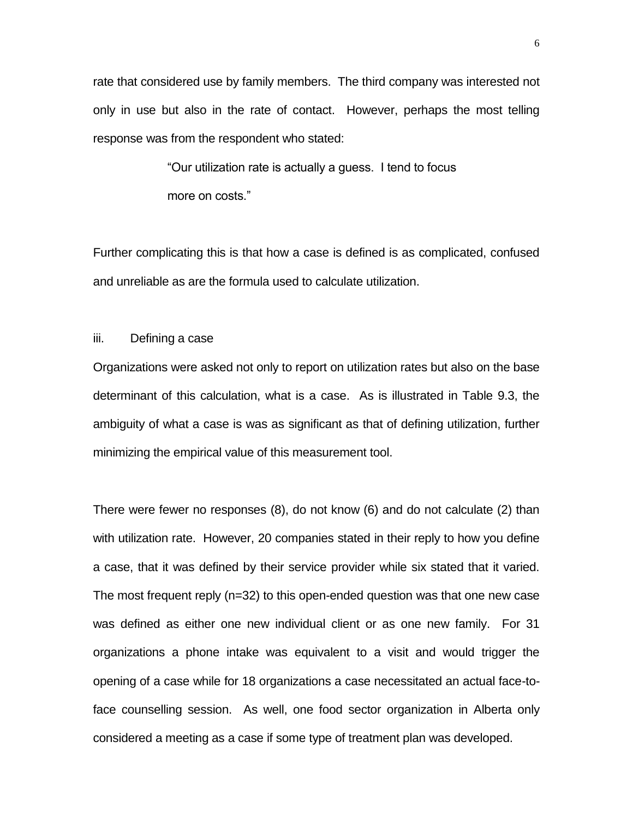rate that considered use by family members. The third company was interested not only in use but also in the rate of contact. However, perhaps the most telling response was from the respondent who stated:

> "Our utilization rate is actually a guess. I tend to focus more on costs."

Further complicating this is that how a case is defined is as complicated, confused and unreliable as are the formula used to calculate utilization.

# iii. Defining a case

Organizations were asked not only to report on utilization rates but also on the base determinant of this calculation, what is a case. As is illustrated in Table 9.3, the ambiguity of what a case is was as significant as that of defining utilization, further minimizing the empirical value of this measurement tool.

There were fewer no responses (8), do not know (6) and do not calculate (2) than with utilization rate. However, 20 companies stated in their reply to how you define a case, that it was defined by their service provider while six stated that it varied. The most frequent reply (n=32) to this open-ended question was that one new case was defined as either one new individual client or as one new family. For 31 organizations a phone intake was equivalent to a visit and would trigger the opening of a case while for 18 organizations a case necessitated an actual face-toface counselling session. As well, one food sector organization in Alberta only considered a meeting as a case if some type of treatment plan was developed.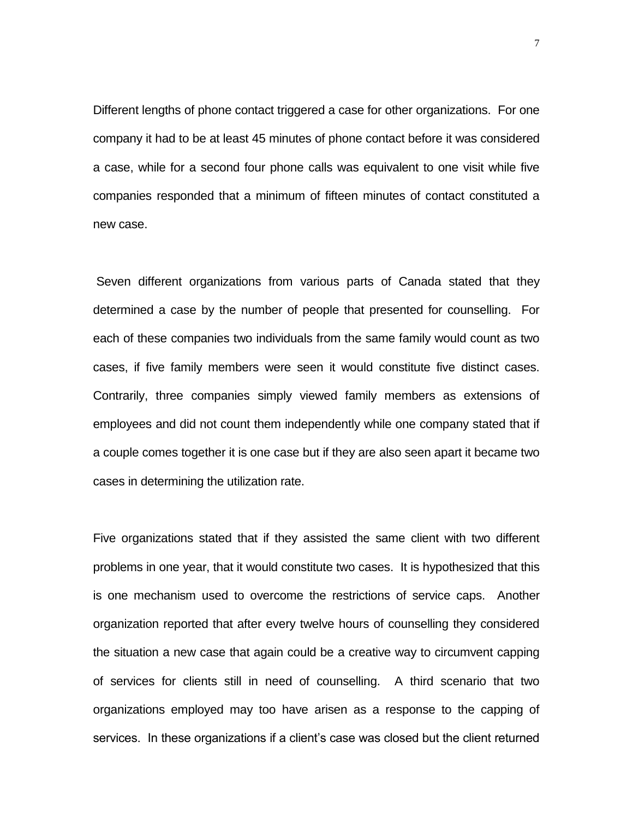Different lengths of phone contact triggered a case for other organizations. For one company it had to be at least 45 minutes of phone contact before it was considered a case, while for a second four phone calls was equivalent to one visit while five companies responded that a minimum of fifteen minutes of contact constituted a new case.

Seven different organizations from various parts of Canada stated that they determined a case by the number of people that presented for counselling. For each of these companies two individuals from the same family would count as two cases, if five family members were seen it would constitute five distinct cases. Contrarily, three companies simply viewed family members as extensions of employees and did not count them independently while one company stated that if a couple comes together it is one case but if they are also seen apart it became two cases in determining the utilization rate.

Five organizations stated that if they assisted the same client with two different problems in one year, that it would constitute two cases. It is hypothesized that this is one mechanism used to overcome the restrictions of service caps. Another organization reported that after every twelve hours of counselling they considered the situation a new case that again could be a creative way to circumvent capping of services for clients still in need of counselling. A third scenario that two organizations employed may too have arisen as a response to the capping of services. In these organizations if a client's case was closed but the client returned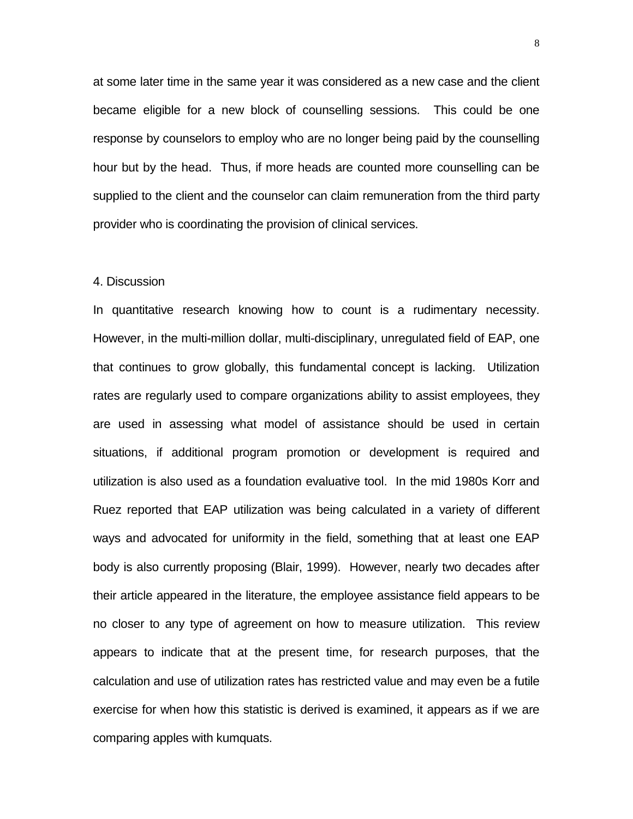at some later time in the same year it was considered as a new case and the client became eligible for a new block of counselling sessions. This could be one response by counselors to employ who are no longer being paid by the counselling hour but by the head. Thus, if more heads are counted more counselling can be supplied to the client and the counselor can claim remuneration from the third party provider who is coordinating the provision of clinical services.

#### 4. Discussion

In quantitative research knowing how to count is a rudimentary necessity. However, in the multi-million dollar, multi-disciplinary, unregulated field of EAP, one that continues to grow globally, this fundamental concept is lacking. Utilization rates are regularly used to compare organizations ability to assist employees, they are used in assessing what model of assistance should be used in certain situations, if additional program promotion or development is required and utilization is also used as a foundation evaluative tool. In the mid 1980s Korr and Ruez reported that EAP utilization was being calculated in a variety of different ways and advocated for uniformity in the field, something that at least one EAP body is also currently proposing (Blair, 1999). However, nearly two decades after their article appeared in the literature, the employee assistance field appears to be no closer to any type of agreement on how to measure utilization. This review appears to indicate that at the present time, for research purposes, that the calculation and use of utilization rates has restricted value and may even be a futile exercise for when how this statistic is derived is examined, it appears as if we are comparing apples with kumquats.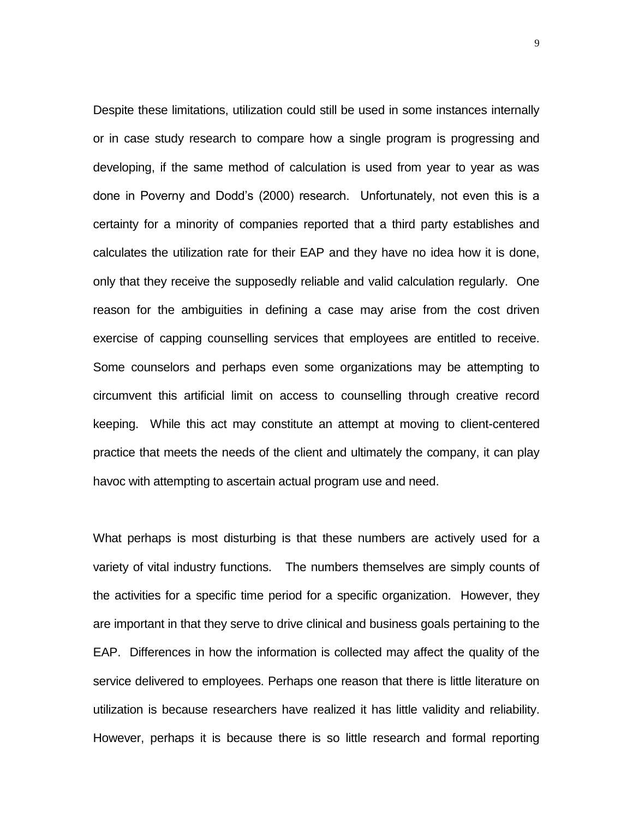Despite these limitations, utilization could still be used in some instances internally or in case study research to compare how a single program is progressing and developing, if the same method of calculation is used from year to year as was done in Poverny and Dodd's (2000) research. Unfortunately, not even this is a certainty for a minority of companies reported that a third party establishes and calculates the utilization rate for their EAP and they have no idea how it is done, only that they receive the supposedly reliable and valid calculation regularly. One reason for the ambiguities in defining a case may arise from the cost driven exercise of capping counselling services that employees are entitled to receive. Some counselors and perhaps even some organizations may be attempting to circumvent this artificial limit on access to counselling through creative record keeping. While this act may constitute an attempt at moving to client-centered practice that meets the needs of the client and ultimately the company, it can play havoc with attempting to ascertain actual program use and need.

What perhaps is most disturbing is that these numbers are actively used for a variety of vital industry functions. The numbers themselves are simply counts of the activities for a specific time period for a specific organization. However, they are important in that they serve to drive clinical and business goals pertaining to the EAP. Differences in how the information is collected may affect the quality of the service delivered to employees. Perhaps one reason that there is little literature on utilization is because researchers have realized it has little validity and reliability. However, perhaps it is because there is so little research and formal reporting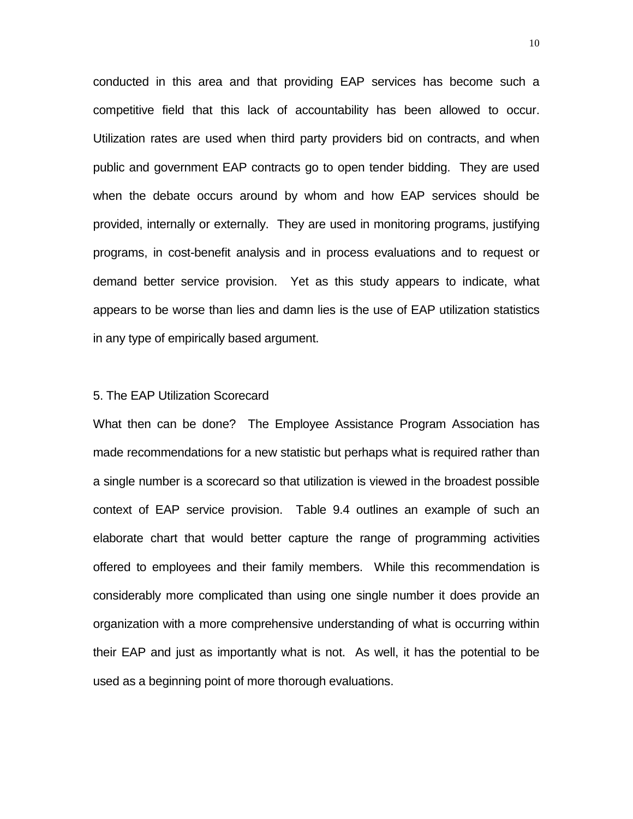conducted in this area and that providing EAP services has become such a competitive field that this lack of accountability has been allowed to occur. Utilization rates are used when third party providers bid on contracts, and when public and government EAP contracts go to open tender bidding. They are used when the debate occurs around by whom and how EAP services should be provided, internally or externally. They are used in monitoring programs, justifying programs, in cost-benefit analysis and in process evaluations and to request or demand better service provision. Yet as this study appears to indicate, what appears to be worse than lies and damn lies is the use of EAP utilization statistics in any type of empirically based argument.

## 5. The EAP Utilization Scorecard

What then can be done? The Employee Assistance Program Association has made recommendations for a new statistic but perhaps what is required rather than a single number is a scorecard so that utilization is viewed in the broadest possible context of EAP service provision. Table 9.4 outlines an example of such an elaborate chart that would better capture the range of programming activities offered to employees and their family members. While this recommendation is considerably more complicated than using one single number it does provide an organization with a more comprehensive understanding of what is occurring within their EAP and just as importantly what is not. As well, it has the potential to be used as a beginning point of more thorough evaluations.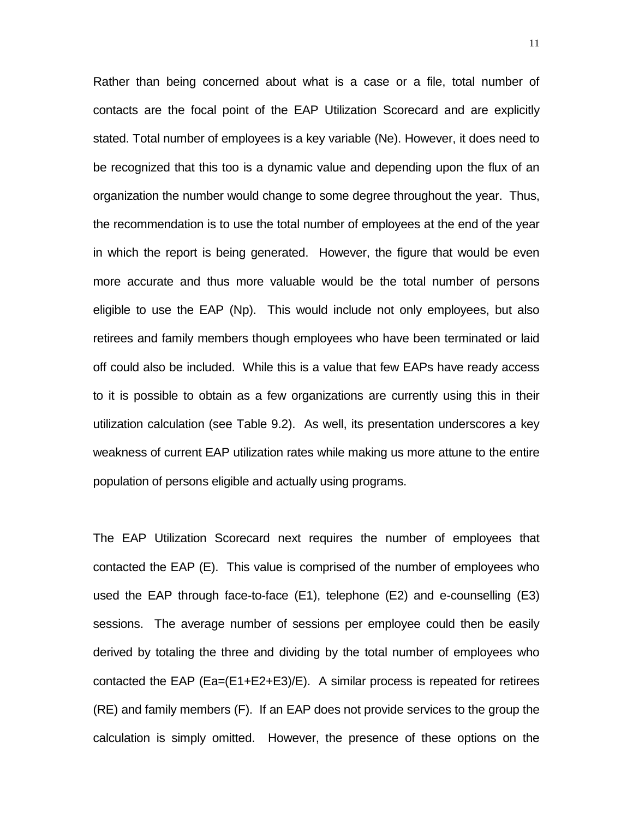Rather than being concerned about what is a case or a file, total number of contacts are the focal point of the EAP Utilization Scorecard and are explicitly stated. Total number of employees is a key variable (Ne). However, it does need to be recognized that this too is a dynamic value and depending upon the flux of an organization the number would change to some degree throughout the year. Thus, the recommendation is to use the total number of employees at the end of the year in which the report is being generated. However, the figure that would be even more accurate and thus more valuable would be the total number of persons eligible to use the EAP (Np). This would include not only employees, but also retirees and family members though employees who have been terminated or laid off could also be included. While this is a value that few EAPs have ready access to it is possible to obtain as a few organizations are currently using this in their utilization calculation (see Table 9.2). As well, its presentation underscores a key weakness of current EAP utilization rates while making us more attune to the entire population of persons eligible and actually using programs.

The EAP Utilization Scorecard next requires the number of employees that contacted the EAP (E). This value is comprised of the number of employees who used the EAP through face-to-face (E1), telephone (E2) and e-counselling (E3) sessions. The average number of sessions per employee could then be easily derived by totaling the three and dividing by the total number of employees who contacted the EAP (Ea=(E1+E2+E3)/E). A similar process is repeated for retirees (RE) and family members (F). If an EAP does not provide services to the group the calculation is simply omitted. However, the presence of these options on the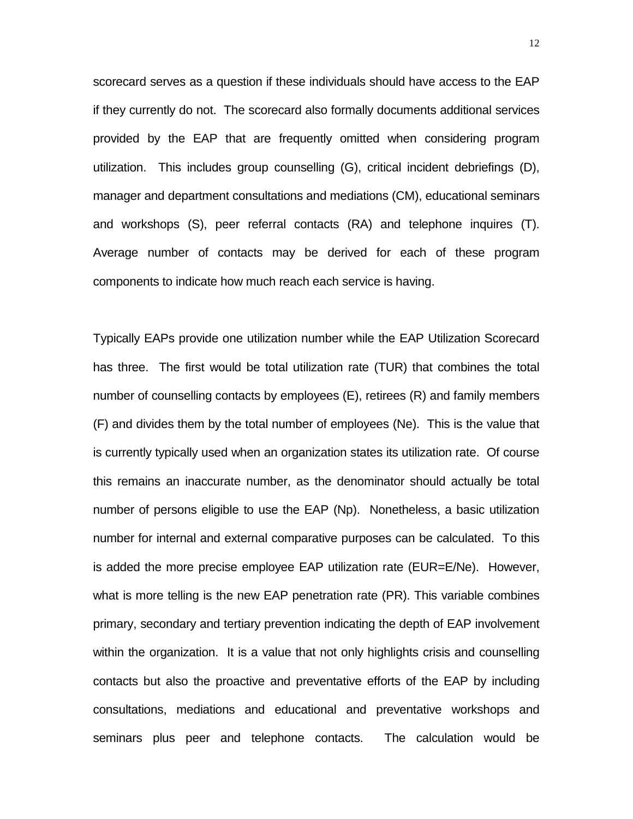scorecard serves as a question if these individuals should have access to the EAP if they currently do not. The scorecard also formally documents additional services provided by the EAP that are frequently omitted when considering program utilization. This includes group counselling (G), critical incident debriefings (D), manager and department consultations and mediations (CM), educational seminars and workshops (S), peer referral contacts (RA) and telephone inquires (T). Average number of contacts may be derived for each of these program components to indicate how much reach each service is having.

Typically EAPs provide one utilization number while the EAP Utilization Scorecard has three. The first would be total utilization rate (TUR) that combines the total number of counselling contacts by employees (E), retirees (R) and family members (F) and divides them by the total number of employees (Ne). This is the value that is currently typically used when an organization states its utilization rate. Of course this remains an inaccurate number, as the denominator should actually be total number of persons eligible to use the EAP (Np). Nonetheless, a basic utilization number for internal and external comparative purposes can be calculated. To this is added the more precise employee EAP utilization rate (EUR=E/Ne). However, what is more telling is the new EAP penetration rate (PR). This variable combines primary, secondary and tertiary prevention indicating the depth of EAP involvement within the organization. It is a value that not only highlights crisis and counselling contacts but also the proactive and preventative efforts of the EAP by including consultations, mediations and educational and preventative workshops and seminars plus peer and telephone contacts. The calculation would be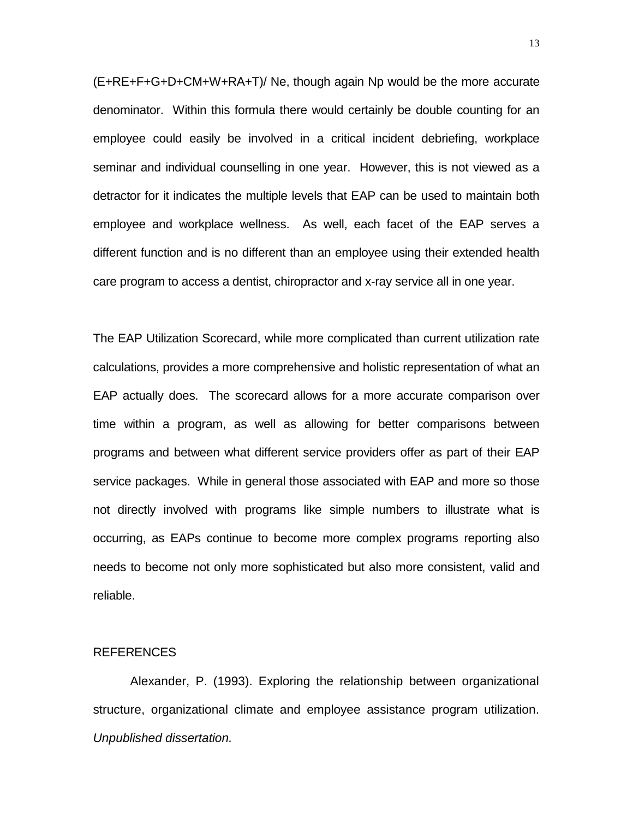(E+RE+F+G+D+CM+W+RA+T)/ Ne, though again Np would be the more accurate denominator. Within this formula there would certainly be double counting for an employee could easily be involved in a critical incident debriefing, workplace seminar and individual counselling in one year. However, this is not viewed as a detractor for it indicates the multiple levels that EAP can be used to maintain both employee and workplace wellness. As well, each facet of the EAP serves a different function and is no different than an employee using their extended health care program to access a dentist, chiropractor and x-ray service all in one year.

The EAP Utilization Scorecard, while more complicated than current utilization rate calculations, provides a more comprehensive and holistic representation of what an EAP actually does. The scorecard allows for a more accurate comparison over time within a program, as well as allowing for better comparisons between programs and between what different service providers offer as part of their EAP service packages. While in general those associated with EAP and more so those not directly involved with programs like simple numbers to illustrate what is occurring, as EAPs continue to become more complex programs reporting also needs to become not only more sophisticated but also more consistent, valid and reliable.

## REFERENCES

Alexander, P. (1993). Exploring the relationship between organizational structure, organizational climate and employee assistance program utilization. *Unpublished dissertation.*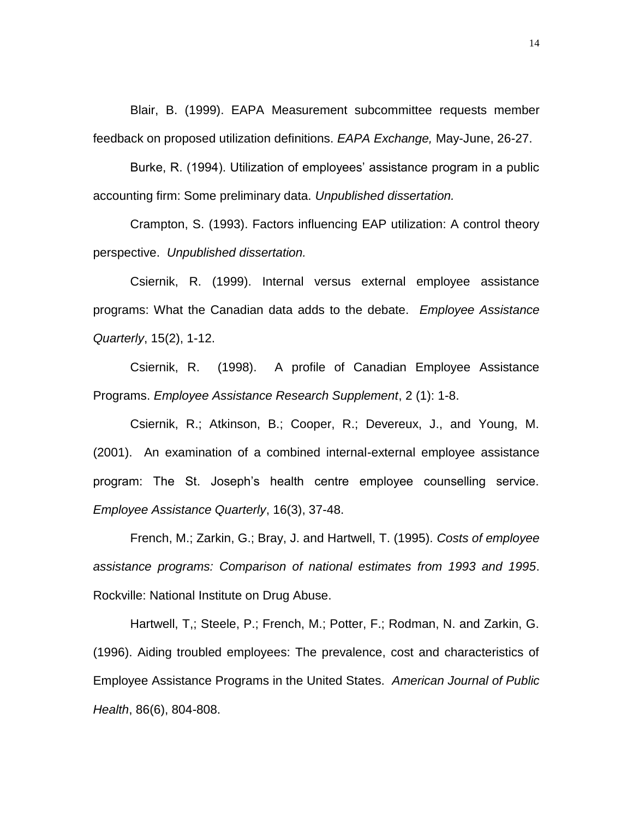Blair, B. (1999). EAPA Measurement subcommittee requests member feedback on proposed utilization definitions. *EAPA Exchange,* May-June, 26-27.

Burke, R. (1994). Utilization of employees' assistance program in a public accounting firm: Some preliminary data. *Unpublished dissertation.*

Crampton, S. (1993). Factors influencing EAP utilization: A control theory perspective. *Unpublished dissertation.*

Csiernik, R. (1999). Internal versus external employee assistance programs: What the Canadian data adds to the debate. *Employee Assistance Quarterly*, 15(2), 1-12.

Csiernik, R. (1998). A profile of Canadian Employee Assistance Programs. *Employee Assistance Research Supplement*, 2 (1): 1-8.

Csiernik, R.; Atkinson, B.; Cooper, R.; Devereux, J., and Young, M. (2001). An examination of a combined internal-external employee assistance program: The St. Joseph's health centre employee counselling service. *Employee Assistance Quarterly*, 16(3), 37-48.

French, M.; Zarkin, G.; Bray, J. and Hartwell, T. (1995). *Costs of employee assistance programs: Comparison of national estimates from 1993 and 1995*. Rockville: National Institute on Drug Abuse.

Hartwell, T,; Steele, P.; French, M.; Potter, F.; Rodman, N. and Zarkin, G. (1996). Aiding troubled employees: The prevalence, cost and characteristics of Employee Assistance Programs in the United States. *American Journal of Public Health*, 86(6), 804-808.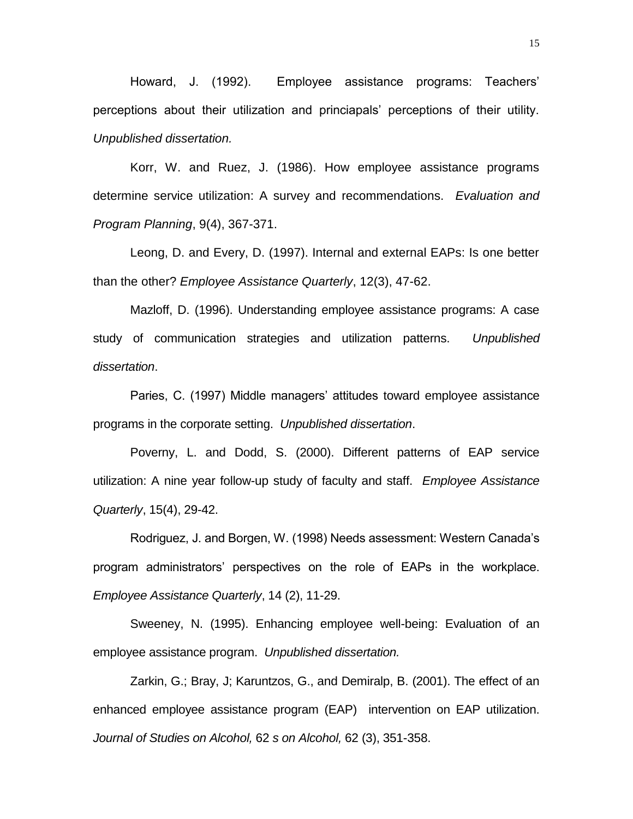Howard, J. (1992). Employee assistance programs: Teachers' perceptions about their utilization and princiapals' perceptions of their utility. *Unpublished dissertation.*

Korr, W. and Ruez, J. (1986). How employee assistance programs determine service utilization: A survey and recommendations. *Evaluation and Program Planning*, 9(4), 367-371.

Leong, D. and Every, D. (1997). Internal and external EAPs: Is one better than the other? *Employee Assistance Quarterly*, 12(3), 47-62.

Mazloff, D. (1996). Understanding employee assistance programs: A case study of communication strategies and utilization patterns. *Unpublished dissertation*.

Paries, C. (1997) Middle managers' attitudes toward employee assistance programs in the corporate setting. *Unpublished dissertation*.

Poverny, L. and Dodd, S. (2000). Different patterns of EAP service utilization: A nine year follow-up study of faculty and staff. *Employee Assistance Quarterly*, 15(4), 29-42.

Rodriguez, J. and Borgen, W. (1998) Needs assessment: Western Canada's program administrators' perspectives on the role of EAPs in the workplace. *Employee Assistance Quarterly*, 14 (2), 11-29.

Sweeney, N. (1995). Enhancing employee well-being: Evaluation of an employee assistance program. *Unpublished dissertation.*

Zarkin, G.; Bray, J; Karuntzos, G., and Demiralp, B. (2001). The effect of an enhanced employee assistance program (EAP) intervention on EAP utilization. *Journal of Studies on Alcohol,* 62 *s on Alcohol,* 62 (3), 351-358.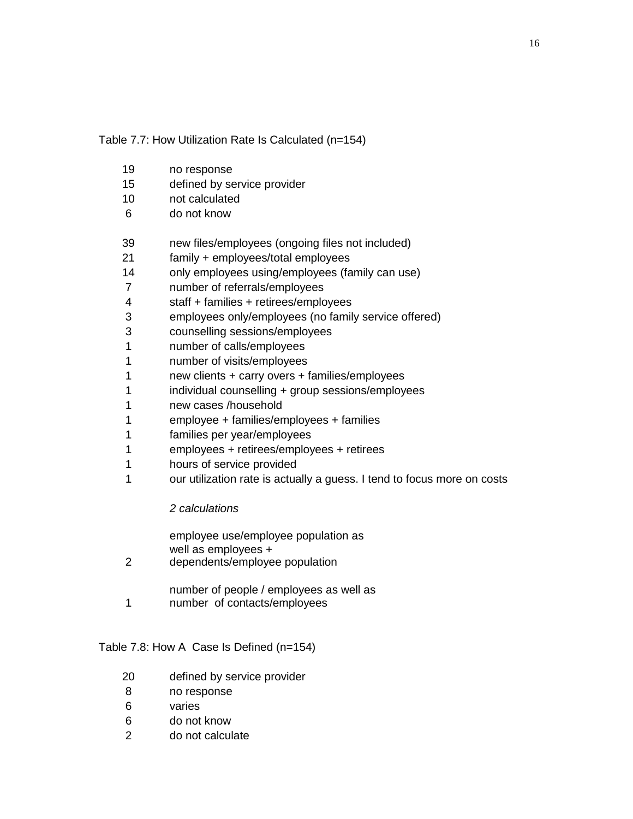Table 7.7: How Utilization Rate Is Calculated (n=154)

- no response
- defined by service provider
- not calculated
- do not know
- new files/employees (ongoing files not included)
- family + employees/total employees
- only employees using/employees (family can use)
- number of referrals/employees
- staff + families + retirees/employees
- employees only/employees (no family service offered)
- counselling sessions/employees
- number of calls/employees
- number of visits/employees
- new clients + carry overs + families/employees
- individual counselling + group sessions/employees
- new cases /household
- employee + families/employees + families
- families per year/employees
- employees + retirees/employees + retirees
- hours of service provided
- 1 our utilization rate is actually a guess. I tend to focus more on costs

# *2 calculations*

| 2 | employee use/employee population as<br>well as employees +<br>dependents/employee population |
|---|----------------------------------------------------------------------------------------------|
|   | number of people / employees as well as                                                      |

 number of contacts/employees

# Table 7.8: How A Case Is Defined (n=154)

- defined by service provider
- no response
- varies
- do not know
- do not calculate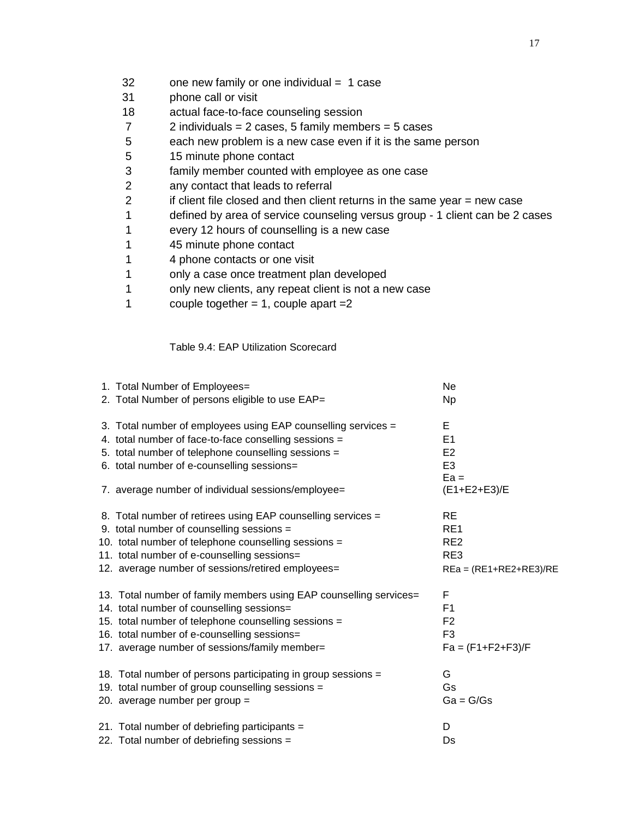- 32 one new family or one individual = 1 case
- 31 phone call or visit
- 18 actual face-to-face counseling session
- 7 2 individuals = 2 cases, 5 family members = 5 cases
- 5 each new problem is a new case even if it is the same person
- 5 15 minute phone contact
- 3 family member counted with employee as one case
- 2 any contact that leads to referral
- 2 if client file closed and then client returns in the same year = new case
- 1 defined by area of service counseling versus group 1 client can be 2 cases
- 1 every 12 hours of counselling is a new case
- 1 45 minute phone contact
- 1 4 phone contacts or one visit
- 1 only a case once treatment plan developed
- 1 only new clients, any repeat client is not a new case
- 1 couple together  $= 1$ , couple apart  $= 2$

# Table 9.4: EAP Utilization Scorecard

| 1. Total Number of Employees=<br>2. Total Number of persons eligible to use EAP= | Ne<br><b>Np</b>          |
|----------------------------------------------------------------------------------|--------------------------|
|                                                                                  |                          |
| 3. Total number of employees using EAP counselling services =                    | Е                        |
| 4. total number of face-to-face conselling sessions =                            | E <sub>1</sub>           |
| 5. total number of telephone counselling sessions =                              | E2                       |
| 6. total number of e-counselling sessions=                                       | E <sub>3</sub>           |
|                                                                                  | $Ea =$                   |
| 7. average number of individual sessions/employee=                               | (E1+E2+E3)/E             |
| 8. Total number of retirees using EAP counselling services =                     | RE                       |
| 9. total number of counselling sessions =                                        | RE <sub>1</sub>          |
| 10. total number of telephone counselling sessions =                             | RE <sub>2</sub>          |
| 11. total number of e-counselling sessions=                                      | RE3                      |
| 12. average number of sessions/retired employees=                                | $REa = (RE1+RE2+RE3)/RE$ |
| 13. Total number of family members using EAP counselling services=               | F                        |
| 14. total number of counselling sessions=                                        | F <sub>1</sub>           |
| 15. total number of telephone counselling sessions =                             | F <sub>2</sub>           |
| 16. total number of e-counselling sessions=                                      | F <sub>3</sub>           |
| 17. average number of sessions/family member=                                    | $Fa = (F1 + F2 + F3)/F$  |
| 18. Total number of persons participating in group sessions =                    | G                        |
| 19. total number of group counselling sessions =                                 | Gs                       |
| 20. average number per group =                                                   | $Ga = G/Gs$              |
| 21. Total number of debriefing participants =                                    | D                        |
| 22. Total number of debriefing sessions =                                        | Ds                       |